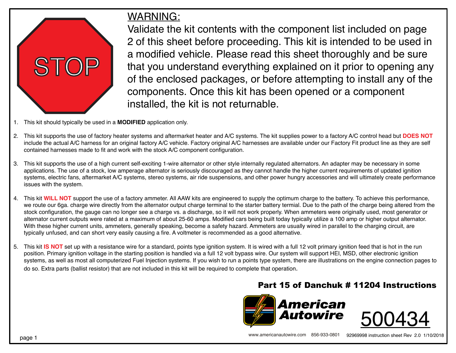

## WARNING:

Validate the kit contents with the component list included on page 2 of this sheet before proceeding. This kit is intended to be used in a modified vehicle. Please read this sheet thoroughly and be sure that you understand everything explained on it prior to opening any of the enclosed packages, or before attempting to install any of the components. Once this kit has been opened or a component installed, the kit is not returnable.

- 1. This kit should typically be used in a **MODIFIED** application only.
- 2. This kit supports the use of factory heater systems and aftermarket heater and A/C systems. The kit supplies power to a factory A/C control head but **DOES NOT** include the actual A/C harness for an original factory A/C vehicle. Factory original A/C harnesses are available under our Factory Fit product line as they are self contained harnesses made to fit and work with the stock A/C component configuration.
- 3. This kit supports the use of a high current self-exciting 1-wire alternator or other style internally regulated alternators. An adapter may be necessary in some applications. The use of a stock, low amperage alternator is seriously discouraged as they cannot handle the higher current requirements of updated ignition systems, electric fans, aftermarket A/C systems, stereo systems, air ride suspensions, and other power hungry accessories and will ultimately create performance issues with the system.
- 4. This kit **WILL NOT** support the use of a factory ammeter. All AAW kits are engineered to supply the optimum charge to the battery. To achieve this performance, we route our 6ga. charge wire directly from the alternator output charge terminal to the starter battery termial. Due to the path of the charge being altered from the stock configuration, the gauge can no longer see a charge vs. a discharge, so it will not work properly. When ammeters were originally used, most generator or alternator current outputs were rated at a maximum of about 25-60 amps. Modified cars being built today typically utilize a 100 amp or higher output alternator. With these higher current units, ammeters, generally speaking, become a safety hazard. Ammeters are usually wired in parallel to the charging circuit, are typically unfused, and can short very easily causing a fire. A voltmeter is recommended as a good alternative.
- 5. This kit **IS NOT** set up with a resistance wire for a standard, points type ignition system. It is wired with a full 12 volt primary ignition feed that is hot in the run position. Primary ignition voltage in the starting position is handled via a full 12 volt bypass wire. Our system will support HEI, MSD, other electronic ignition systems, as well as most all computerized Fuel Injection systems. If you wish to run a points type system, there are illustrations on the engine connection pages to do so. Extra parts (ballist resistor) that are not included in this kit will be required to complete that operation.

## Part 15 of Danchuk # 11204 Instructions